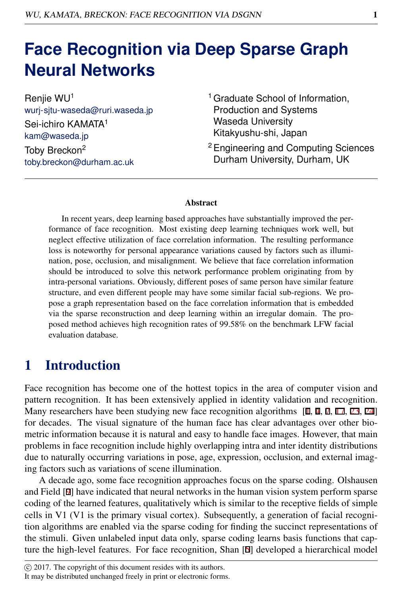# **Face Recognition via Deep Sparse Graph Neural Networks**

Renjie WU<sup>1</sup> wurj-sjtu-waseda@ruri.waseda.jp Sei-ichiro KAMATA<sup>1</sup> kam@waseda.jp Toby Breckon<sup>2</sup> toby.breckon@durham.ac.uk

- <sup>1</sup> Graduate School of Information, Production and Systems Waseda University Kitakyushu-shi, Japan
- <sup>2</sup>Engineering and Computing Sciences Durham University, Durham, UK

#### Abstract

In recent years, deep learning based approaches have substantially improved the performance of face recognition. Most existing deep learning techniques work well, but neglect effective utilization of face correlation information. The resulting performance loss is noteworthy for personal appearance variations caused by factors such as illumination, pose, occlusion, and misalignment. We believe that face correlation information should be introduced to solve this network performance problem originating from by intra-personal variations. Obviously, different poses of same person have similar feature structure, and even different people may have some similar facial sub-regions. We propose a graph representation based on the face correlation information that is embedded via the sparse reconstruction and deep learning within an irregular domain. The proposed method achieves high recognition rates of <sup>99</sup>.58% on the benchmark LFW facial evaluation database.

### 1 Introduction

Face recognition has become one of the hottest topics in the area of computer vision and pattern recognition. It has been extensively applied in identity validation and recognition. Many researchers have been studying new face recognition algorithms  $[1, 4, 7, 17, 23, 24]$ for decades. The visual signature of the human face has clear advantages over other biometric information because it is natural and easy to handle face images. However, that main problems in face recognition include highly overlapping intra and inter identity distributions due to naturally occurring variations in pose, age, expression, occlusion, and external imaging factors such as variations of scene illumination.

A decade ago, some face recognition approaches focus on the sparse coding. Olshausen and Field [9] have indicated that neural networks in the human vision system perform sparse coding of the learned features, qualitatively which is similar to the receptive fields of simple cells in V1 (V1 is the primary visual cortex). Subsequently, a generation of facial recognition algorithms are enabled via the sparse coding for finding the succinct representations of the stimuli. Given unlabeled input data only, sparse coding learns basis functions that capture the high-level features. For face recognition, Shan [5] developed a hierarchical model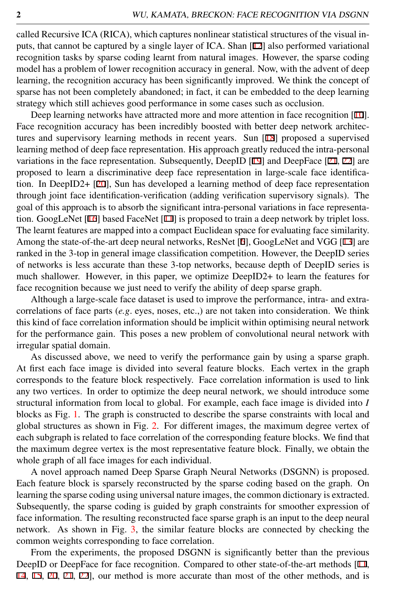called Recursive ICA (RICA), which captures nonlinear statistical structures of the visual inputs, that cannot be captured by a single layer of ICA. Shan [12] also performed variational recognition tasks by sparse coding learnt from natural images. However, the sparse coding model has a problem of lower recognition accuracy in general. Now, with the advent of deep learning, the recognition accuracy has been significantly improved. We think the concept of sparse has not been completely abandoned; in fact, it can be embedded to the deep learning strategy which still achieves good performance in some cases such as occlusion.

Deep learning networks have attracted more and more attention in face recognition [10]. Face recognition accuracy has been incredibly boosted with better deep network architectures and supervisory learning methods in recent years. Sun [18] proposed a supervised learning method of deep face representation. His approach greatly reduced the intra-personal variations in the face representation. Subsequently, DeepID [19] and DeepFace [21, 22] are proposed to learn a discriminative deep face representation in large-scale face identification. In DeepID2+ [20], Sun has developed a learning method of deep face representation through joint face identification-verification (adding verification supervisory signals). The goal of this approach is to absorb the significant intra-personal variations in face representation. GoogLeNet [16] based FaceNet [11] is proposed to train a deep network by triplet loss. The learnt features are mapped into a compact Euclidean space for evaluating face similarity. Among the state-of-the-art deep neural networks, ResNet [6], GoogLeNet and VGG [13] are ranked in the 3-top in general image classification competition. However, the DeepID series of networks is less accurate than these 3-top networks, because depth of DeepID series is much shallower. However, in this paper, we optimize DeepID2+ to learn the features for face recognition because we just need to verify the ability of deep sparse graph.

Although a large-scale face dataset is used to improve the performance, intra- and extracorrelations of face parts (*e.g*. eyes, noses, etc.,) are not taken into consideration. We think this kind of face correlation information should be implicit within optimising neural network for the performance gain. This poses a new problem of convolutional neural network with irregular spatial domain.

As discussed above, we need to verify the performance gain by using a sparse graph. At first each face image is divided into several feature blocks. Each vertex in the graph corresponds to the feature block respectively. Face correlation information is used to link any two vertices. In order to optimize the deep neural network, we should introduce some structural information from local to global. For example, each face image is divided into *I* blocks as Fig. [1.](#page-2-0) The graph is constructed to describe the sparse constraints with local and global structures as shown in Fig. [2.](#page-2-1) For different images, the maximum degree vertex of each subgraph is related to face correlation of the corresponding feature blocks. We find that the maximum degree vertex is the most representative feature block. Finally, we obtain the whole graph of all face images for each individual.

A novel approach named Deep Sparse Graph Neural Networks (DSGNN) is proposed. Each feature block is sparsely reconstructed by the sparse coding based on the graph. On learning the sparse coding using universal nature images, the common dictionary is extracted. Subsequently, the sparse coding is guided by graph constraints for smoother expression of face information. The resulting reconstructed face sparse graph is an input to the deep neural network. As shown in Fig. [3,](#page-3-0) the similar feature blocks are connected by checking the common weights corresponding to face correlation.

From the experiments, the proposed DSGNN is significantly better than the previous DeepID or DeepFace for face recognition. Compared to other state-of-the-art methods [11, 14, 15, 20, 21, 22], our method is more accurate than most of the other methods, and is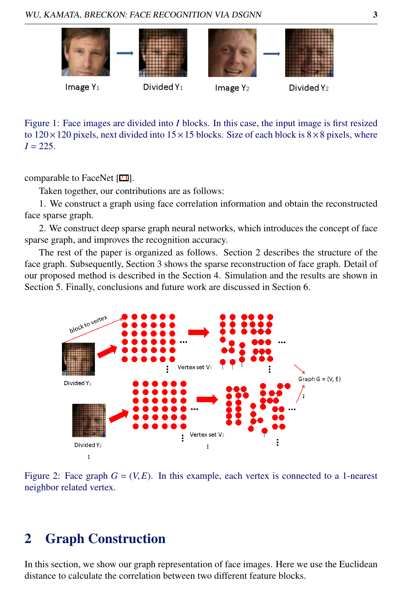WU, KAMATA, BRECKON: FACE RECOGNITION VIA DSGNN 3



<span id="page-2-0"></span>Figure 1: Face images are divided into *I* blocks. In this case, the input image is first resized to  $120 \times 120$  pixels, next divided into  $15 \times 15$  blocks. Size of each block is  $8 \times 8$  pixels, where  $I = 225$ .

comparable to FaceNet [21].

Taken together, our contributions are as follows:

1. We construct a graph using face correlation information and obtain the reconstructed face sparse graph.

2. We construct deep sparse graph neural networks, which introduces the concept of face sparse graph, and improves the recognition accuracy.

The rest of the paper is organized as follows. Section 2 describes the structure of the face graph. Subsequently, Section 3 shows the sparse reconstruction of face graph. Detail of our proposed method is described in the Section 4. Simulation and the results are shown in Section 5. Finally, conclusions and future work are discussed in Section 6.



<span id="page-2-1"></span>Figure 2: Face graph  $G = (V, E)$ . In this example, each vertex is connected to a 1-nearest neighbor related vertex.

## 2 Graph Construction

In this section, we show our graph representation of face images. Here we use the Euclidean distance to calculate the correlation between two different feature blocks.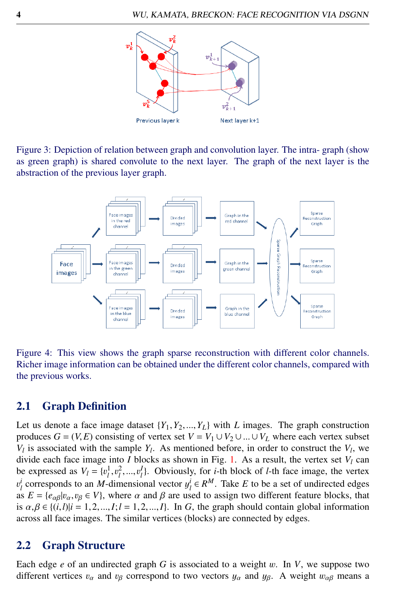

<span id="page-3-0"></span>Figure 3: Depiction of relation between graph and convolution layer. The intra- graph (show as green graph) is shared convolute to the next layer. The graph of the next layer is the abstraction of the previous layer graph.



Figure 4: This view shows the graph sparse reconstruction with different color channels. Richer image information can be obtained under the different color channels, compared with the previous works.

#### 2.1 Graph Definition

Let us denote a face image dataset  $\{Y_1, Y_2, ..., Y_L\}$  with *L* images. The graph construction produces  $G = (V, E)$  consisting of vertex set  $V = V_1 \cup V_2 \cup ... \cup V_L$  where each vertex subset  $V_l$  is associated with the sample  $Y_l$ . As mentioned before, in order to construct the  $V_l$ , we divide each face image into *I* blocks as shown in Fig. [1.](#page-2-0) As a result, the vertex set  $V_l$  can be expressed as  $V_l = \{v_l^1, v_l^2, ..., v_l^l\}$ . Obviously, for *i*-th block of *l*-th face image, the vertex  $v_l^i$  corresponds to an *M* dimensional vector  $v_l^i \in \mathbb{R}^M$ . Take *E* to be a set of undirected edges as  $E = {e_{\alpha\beta} | v_\alpha, v_\beta \in V}$ , where  $\alpha$  and  $\beta$  are used to assign two different feature blocks, that<br>is  $\alpha \beta \in \{i, 1 | i = 1, 2, ..., L\}$ . In  $G$  the graph should contain global information *i l c l c l c l c l c l l c l c l c l c c c l c m n c e d n n e e k d n n e c k n n e c k n n e e d n n e e k* is  $\alpha, \beta \in \{(i, l)|i = 1, 2, \dots, l; l = 1, 2, \dots, l\}$ . In *G*, the graph should contain global information across all face images. The similar vertices (blocks) are connected by edges.

#### 2.2 Graph Structure

Each edge *<sup>e</sup>* of an undirected graph *<sup>G</sup>* is associated to a weight w. In *<sup>V</sup>*, we suppose two different vertices  $v_{\alpha}$  and  $v_{\beta}$  correspond to two vectors  $y_{\alpha}$  and  $y_{\beta}$ . A weight  $w_{\alpha\beta}$  means a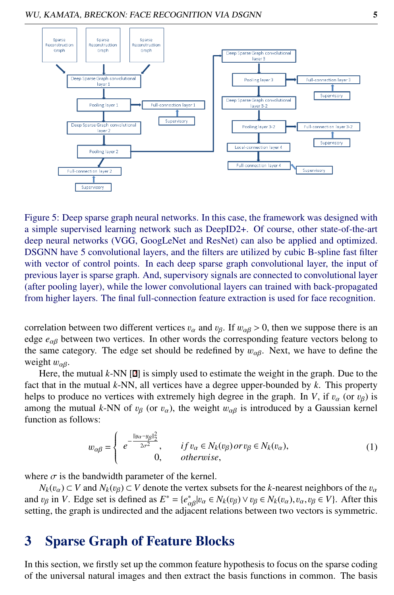

Figure 5: Deep sparse graph neural networks. In this case, the framework was designed with a simple supervised learning network such as DeepID2+. Of course, other state-of-the-art deep neural networks (VGG, GoogLeNet and ResNet) can also be applied and optimized. DSGNN have 5 convolutional layers, and the filters are utilized by cubic B-spline fast filter with vector of control points. In each deep sparse graph convolutional layer, the input of previous layer is sparse graph. And, supervisory signals are connected to convolutional layer (after pooling layer), while the lower convolutional layers can trained with back-propagated from higher layers. The final full-connection feature extraction is used for face recognition.

correlation between two different vertices  $v_\alpha$  and  $v_\beta$ . If  $w_{\alpha\beta} > 0$ , then we suppose there is an edge *<sup>e</sup>*αβ between two vertices. In other words the corresponding feature vectors belong to the same category. The edge set should be redefined by  $w_{\alpha\beta}$ . Next, we have to define the weight  $w_{\alpha\beta}$ .

Here, the mutual *k*-NN [2] is simply used to estimate the weight in the graph. Due to the fact that in the mutual *k*-NN, all vertices have a degree upper-bounded by *k*. This property helps to produce no vertices with extremely high degree in the graph. In *V*, if  $v_\alpha$  (or  $v_\beta$ ) is among the mutual *k*-NN of  $v_B$  (or  $v_\alpha$ ), the weight  $w_{\alpha\beta}$  is introduced by a Gaussian kernel function as follows:

$$
w_{\alpha\beta} = \begin{cases} e^{-\frac{||y_{\alpha} - y_{\beta}||_2^2}{2\sigma^2}}, & if v_{\alpha} \in N_k(v_{\beta}) \text{ or } v_{\beta} \in N_k(v_{\alpha}), \\ 0, & otherwise, \end{cases}
$$
 (1)

where  $\sigma$  is the bandwidth parameter of the kernel.

 $N_k(v_\alpha) \subset V$  and  $N_k(v_\beta) \subset V$  denote the vertex subsets for the *k*-nearest neighbors of the  $v_\alpha$ and  $v_{\beta}$  in *V*. Edge set is defined as  $E^* = \{e_{\alpha\beta}^* | v_{\alpha} \in N_k(v_{\beta}) \vee v_{\beta} \in N_k(v_{\alpha}), v_{\alpha}, v_{\beta} \in V\}$ . After this setting the graph is undirected and the adjacent relations between two vectors is symmetric setting, the graph is undirected and the adjacent relations between two vectors is symmetric.

#### 3 Sparse Graph of Feature Blocks

In this section, we firstly set up the common feature hypothesis to focus on the sparse coding of the universal natural images and then extract the basis functions in common. The basis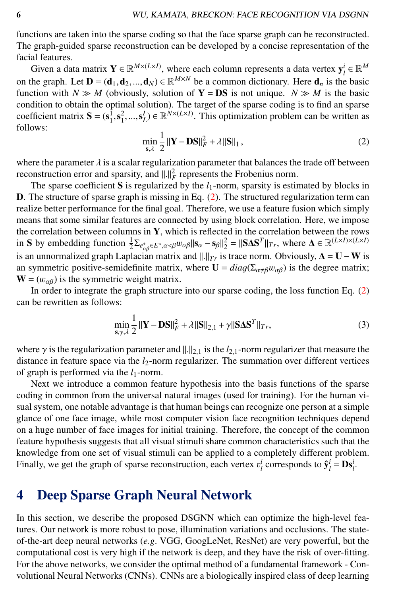functions are taken into the sparse coding so that the face sparse graph can be reconstructed. The graph-guided sparse reconstruction can be developed by a concise representation of the facial features.

Given a data matrix  $\mathbf{Y} \in \mathbb{R}^{M \times (L \times I)}$ , where each column represents a data vertex  $\mathbf{y}_l^i \in \mathbb{R}^M$ on the graph. Let  $\mathbf{D} = (\mathbf{d}_1, \mathbf{d}_2, ..., \mathbf{d}_N) \in \mathbb{R}^{M \times N}$  be a common dictionary. Here  $\mathbf{d}_n$  is the basic function with  $N \gg M$  (obviously solution of  $\mathbf{V} = \mathbf{D}S$  is not unique  $N \gg M$  is the basic function with  $N \gg M$  (obviously, solution of  $Y = DS$  is not unique.  $N \gg M$  is the basic condition to obtain the optimal solution). The target of the sparse coding is to find an sparse coefficient matrix  $S = (s_1^1, s_1^2, ..., s_L^I) \in \mathbb{R}^{N \times (L \times I)}$ . This optimization problem can be written as follows: follows:

$$
\min_{\mathbf{s}, \lambda} \frac{1}{2} \|\mathbf{Y} - \mathbf{DS}\|_{F}^{2} + \lambda \|\mathbf{S}\|_{1},
$$
\n(2)

<span id="page-5-0"></span>where the parameter  $\lambda$  is a scalar regularization parameter that balances the trade off between reconstruction error and sparsity, and  $||.||_F^2$  represents the Frobenius norm.<br>The sparse coefficient **S** is requisited by the *l*<sub>1</sub>-norm sparsity is estimated

The sparse coefficient S is regularized by the  $l_1$ -norm, sparsity is estimated by blocks in D. The structure of sparse graph is missing in Eq. [\(2\)](#page-5-0). The structured regularization term can realize better performance for the final goal. Therefore, we use a feature fusion which simply means that some similar features are connected by using block correlation. Here, we impose the correlation between columns in Y, which is reflected in the correlation between the rows in S by embedding function  $\frac{1}{2} \sum_{e_{\alpha\beta}^* \in E^*, \alpha \leq \beta} w_{\alpha\beta} || s_{\alpha} - s_{\beta} ||_2^2 = ||S \Delta S^T||_{Tr}$ , where  $\Delta \in \mathbb{R}^{(L \times I) \times (L \times I)}$ <br>is an unnermalized graph Laplacian matrix and  $|| \cdot ||_2$  is trees norm. Obviously,  $\Delta = \mathbf$ is an unnormalized graph Laplacian matrix and  $\Vert . \Vert_{Tr}$  is trace norm. Obviously,  $\Delta = U - W$  is an symmetric positive-semidefinite matrix, where  $U = diag(\Sigma_{\alpha \neq \beta} w_{\alpha \beta})$  is the degree matrix;  $W = (w_{\alpha\beta})$  is the symmetric weight matrix.

In order to integrate the graph structure into our sparse coding, the loss function Eq. [\(2\)](#page-5-0) can be rewritten as follows:

$$
\min_{\mathbf{S}, \gamma, \lambda} \frac{1}{2} \left\| \mathbf{Y} - \mathbf{D} \mathbf{S} \right\|_F^2 + \lambda \left\| \mathbf{S} \right\|_{2,1} + \gamma \left\| \mathbf{S} \mathbf{\Delta} \mathbf{S}^T \right\|_{Tr},\tag{3}
$$

where  $\gamma$  is the regularization parameter and  $\|\cdot\|_{2,1}$  is the  $l_{2,1}$ -norm regularizer that measure the distance in feature space via the *l*<sub>2</sub>-norm regularizer. The summation over different vertices of graph is performed via the *l*1-norm.

Next we introduce a common feature hypothesis into the basis functions of the sparse coding in common from the universal natural images (used for training). For the human visual system, one notable advantage is that human beings can recognize one person at a simple glance of one face image, while most computer vision face recognition techniques depend on a huge number of face images for initial training. Therefore, the concept of the common feature hypothesis suggests that all visual stimuli share common characteristics such that the knowledge from one set of visual stimuli can be applied to a completely different problem. Finally, we get the graph of sparse reconstruction, each vertex  $v_l^i$  corresponds to  $\hat{\mathbf{y}}_l^i = \mathbf{D}\mathbf{s}_l^i$ .

#### 4 Deep Sparse Graph Neural Network

In this section, we describe the proposed DSGNN which can optimize the high-level features. Our network is more robust to pose, illumination variations and occlusions. The stateof-the-art deep neural networks (*e.g*. VGG, GoogLeNet, ResNet) are very powerful, but the computational cost is very high if the network is deep, and they have the risk of over-fitting. For the above networks, we consider the optimal method of a fundamental framework - Convolutional Neural Networks (CNNs). CNNs are a biologically inspired class of deep learning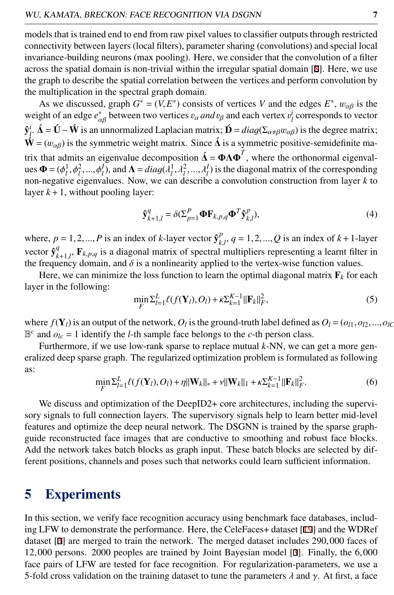models that is trained end to end from raw pixel values to classifier outputs through restricted connectivity between layers (local filters), parameter sharing (convolutions) and special local invariance-building neurons (max pooling). Here, we consider that the convolution of a filter across the spatial domain is non-trivial within the irregular spatial domain [8]. Here, we use the graph to describe the spatial correlation between the vertices and perform convolution by the multiplication in the spectral graph domain.

As we discussed, graph  $G^* = (V, E^*)$  consists of vertices *V* and the edges  $E^*$ ,  $w_{\alpha\beta}$  is the other of an edge  $e^*$  between two vertices *v*, *and ve* and each vertex *v*<sup>*i*</sup> corresponds to vector weight of an edge  $e_{\alpha\beta}^*$  between two vertices  $v_\alpha$  *and*  $v_\beta$  and each vertex  $v_i^i$  corresponds to vector  $\hat{\mathbf{y}}_i^i$ .  $\hat{\mathbf{\Delta}} = \hat{\mathbf{U}} - \hat{\mathbf{W}}$  is an unnormalized Laplacian matrix;  $\hat{\mathbf{D}} = diag(\Sigma_{\alpha \neq \beta} w_{\alpha \beta})$  is the degree matrix;  $\mathbf{\hat{W}} = (w_{\alpha\beta})$  is the symmetric weight matrix. Since  $\vec{\Delta}$  is a symmetric positive-semidefinite matrix that admits an eigenvalue decomposition  $\hat{\Delta} = \Phi \Lambda \Phi^T$ , where the orthonormal eigenval- $\mathbf{u} = (\phi_1^1, \phi_1^2, ..., \phi_l^I)$ , and  $\mathbf{\Lambda} = diag(\lambda_1^1, \lambda_1^2, ..., \lambda_l^I)$  is the diagonal matrix of the corresponding<br>non-negative eigenvalues. Now we can describe a convolution construction from layer k to non-negative eigenvalues. Now, we can describe a convolution construction from layer *k* to layer  $k+1$ , without pooling layer:

$$
\hat{\mathbf{y}}_{k+1,l}^q = \delta(\Sigma_{p=1}^P \mathbf{\Phi} \mathbf{F}_{k,p,q} \mathbf{\Phi}^T \hat{\mathbf{y}}_{k,l}^p),\tag{4}
$$

where,  $p = 1, 2, ..., P$  is an index of *k*-layer vector  $\hat{\mathbf{y}}_{k,l}^p$ ,  $q = 1, 2, ..., Q$  is an index of *k* + 1-layer vector  $\hat{\mathbf{y}}_{k+1,l}^q$ ,  $\mathbf{F}_{k,p,q}$  is a diagonal matrix of spectral multipliers representing a learnt filter in the frequency densing and  $\delta$  is a poplinearity enplied to the vector wise function values. the frequency domain, and  $\delta$  is a nonlinearity applied to the vertex-wise function values.<br>
Here we can minimize the loss function to learn the optimal diagonal matrix **F**, for a

Here, we can minimize the loss function to learn the optimal diagonal matrix  $\mathbf{F}_k$  for each layer in the following:

$$
\min_{F} \sum_{l=1}^{L} \ell(f(\mathbf{Y}_{l}), O_{l}) + \kappa \sum_{k=1}^{K-1} ||\mathbf{F}_{k}||_{F}^{2},
$$
\n(5)

where  $f(\mathbf{Y}_l)$  is an output of the network,  $O_l$  is the ground-truth label defined as  $O_l = (o_{l1}, o_{l2}, ..., o_{lC}$ <br>  $\mathbb{R}^c$  and  $o_l - 1$  identify the *L*<sub>th</sub> sample face belongs to the *c*-th person class  $\mathbb{B}^c$  and  $o_{lc} = 1$  identify the *l*-th sample face belongs to the *c*-th person class.

Furthermore, if we use low-rank sparse to replace mutual *k*-NN, we can get a more generalized deep sparse graph. The regularized optimization problem is formulated as following as:

$$
\min_{F} \sum_{l=1}^{L} \ell(f(\mathbf{Y}_{l}), O_{l}) + \eta ||\mathbf{W}_{k}||_{*} + \gamma ||\mathbf{W}_{k}||_{1} + \kappa \sum_{k=1}^{K-1} ||\mathbf{F}_{k}||_{F}^{2}.
$$
\n(6)

We discuss and optimization of the DeepID2+ core architectures, including the supervisory signals to full connection layers. The supervisory signals help to learn better mid-level features and optimize the deep neural network. The DSGNN is trained by the sparse graphguide reconstructed face images that are conductive to smoothing and robust face blocks. Add the network takes batch blocks as graph input. These batch blocks are selected by different positions, channels and poses such that networks could learn sufficient information.

#### 5 Experiments

In this section, we verify face recognition accuracy using benchmark face databases, including LFW to demonstrate the performance. Here, the CeleFaces+ dataset [19] and the WDRef dataset [3] are merged to train the network. The merged dataset includes <sup>290</sup>,<sup>000</sup> faces of <sup>12</sup>,<sup>000</sup> persons. <sup>2000</sup> peoples are trained by Joint Bayesian model [3]. Finally, the <sup>6</sup>,<sup>000</sup> face pairs of LFW are tested for face recognition. For regularization-parameters, we use a 5-fold cross validation on the training dataset to tune the parameters  $\lambda$  and  $\gamma$ . At first, a face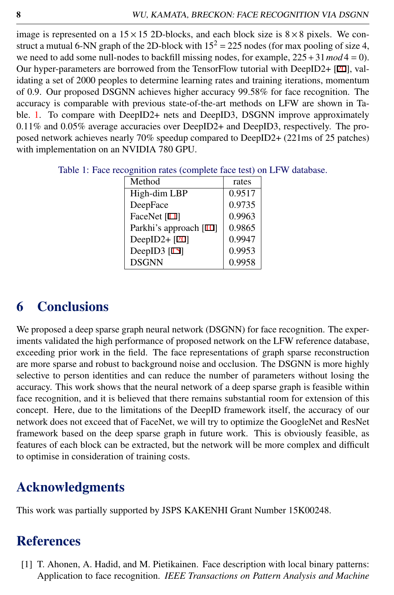image is represented on a  $15 \times 15$  2D-blocks, and each block size is  $8 \times 8$  pixels. We construct a mutual 6-NN graph of the 2D-block with  $15^2 = 225$  nodes (for max pooling of size 4, we need to add some null-nodes to backfill missing nodes, for example,  $225 + 31 \text{ mod } 4 = 0$ ). Our hyper-parameters are borrowed from the TensorFlow tutorial with DeepID2+ [20], validating a set of 2000 peoples to determine learning rates and training iterations, momentum of <sup>0</sup>.9. Our proposed DSGNN achieves higher accuracy <sup>99</sup>.58% for face recognition. The accuracy is comparable with previous state-of-the-art methods on LFW are shown in Ta-ble. [1.](#page-7-0) To compare with DeepID2+ nets and DeepID3, DSGNN improve approximately <sup>0</sup>.11% and <sup>0</sup>.05% average accuracies over DeepID2+ and DeepID3, respectively. The proposed network achieves nearly 70% speedup compared to DeepID2+ (221ms of 25 patches) with implementation on an NVIDIA 780 GPU.

| Method                 | rates  |
|------------------------|--------|
| High-dim LBP           | 0.9517 |
| DeepFace               | 0.9735 |
| FaceNet [11]           | 0.9963 |
| Parkhi's approach [10] | 0.9865 |
| DeepID2+ $[20]$        | 0.9947 |
| DeepID3 $[15]$         | 0.9953 |
| <b>DSGNN</b>           | 0.9958 |

<span id="page-7-0"></span>Table 1: Face recognition rates (complete face test) on LFW database.

### 6 Conclusions

We proposed a deep sparse graph neural network (DSGNN) for face recognition. The experiments validated the high performance of proposed network on the LFW reference database, exceeding prior work in the field. The face representations of graph sparse reconstruction are more sparse and robust to background noise and occlusion. The DSGNN is more highly selective to person identities and can reduce the number of parameters without losing the accuracy. This work shows that the neural network of a deep sparse graph is feasible within face recognition, and it is believed that there remains substantial room for extension of this concept. Here, due to the limitations of the DeepID framework itself, the accuracy of our network does not exceed that of FaceNet, we will try to optimize the GoogleNet and ResNet framework based on the deep sparse graph in future work. This is obviously feasible, as features of each block can be extracted, but the network will be more complex and difficult to optimise in consideration of training costs.

## Acknowledgments

This work was partially supported by JSPS KAKENHI Grant Number 15K00248.

## **References**

[1] T. Ahonen, A. Hadid, and M. Pietikainen. Face description with local binary patterns: Application to face recognition. *IEEE Transactions on Pattern Analysis and Machine*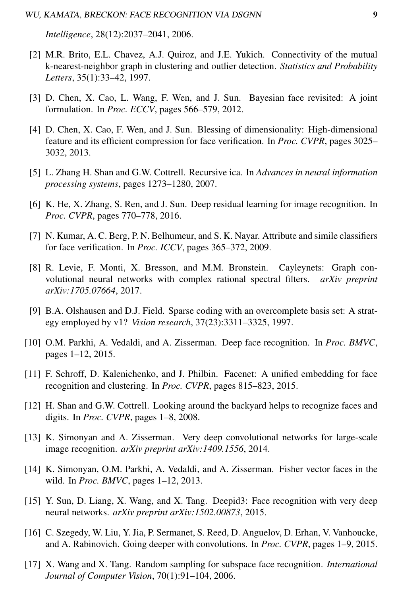*Intelligence*, 28(12):2037–2041, 2006.

- [2] M.R. Brito, E.L. Chavez, A.J. Quiroz, and J.E. Yukich. Connectivity of the mutual k-nearest-neighbor graph in clustering and outlier detection. *Statistics and Probability Letters*, 35(1):33–42, 1997.
- [3] D. Chen, X. Cao, L. Wang, F. Wen, and J. Sun. Bayesian face revisited: A joint formulation. In *Proc. ECCV*, pages 566–579, 2012.
- [4] D. Chen, X. Cao, F. Wen, and J. Sun. Blessing of dimensionality: High-dimensional feature and its efficient compression for face verification. In *Proc. CVPR*, pages 3025– 3032, 2013.
- [5] L. Zhang H. Shan and G.W. Cottrell. Recursive ica. In *Advances in neural information processing systems*, pages 1273–1280, 2007.
- [6] K. He, X. Zhang, S. Ren, and J. Sun. Deep residual learning for image recognition. In *Proc. CVPR*, pages 770–778, 2016.
- [7] N. Kumar, A. C. Berg, P. N. Belhumeur, and S. K. Nayar. Attribute and simile classifiers for face verification. In *Proc. ICCV*, pages 365–372, 2009.
- [8] R. Levie, F. Monti, X. Bresson, and M.M. Bronstein. Cayleynets: Graph convolutional neural networks with complex rational spectral filters. *arXiv preprint arXiv:1705.07664*, 2017.
- [9] B.A. Olshausen and D.J. Field. Sparse coding with an overcomplete basis set: A strategy employed by v1? *Vision research*, 37(23):3311–3325, 1997.
- [10] O.M. Parkhi, A. Vedaldi, and A. Zisserman. Deep face recognition. In *Proc. BMVC*, pages 1–12, 2015.
- [11] F. Schroff, D. Kalenichenko, and J. Philbin. Facenet: A unified embedding for face recognition and clustering. In *Proc. CVPR*, pages 815–823, 2015.
- [12] H. Shan and G.W. Cottrell. Looking around the backyard helps to recognize faces and digits. In *Proc. CVPR*, pages 1–8, 2008.
- [13] K. Simonyan and A. Zisserman. Very deep convolutional networks for large-scale image recognition. *arXiv preprint arXiv:1409.1556*, 2014.
- [14] K. Simonyan, O.M. Parkhi, A. Vedaldi, and A. Zisserman. Fisher vector faces in the wild. In *Proc. BMVC*, pages 1–12, 2013.
- [15] Y. Sun, D. Liang, X. Wang, and X. Tang. Deepid3: Face recognition with very deep neural networks. *arXiv preprint arXiv:1502.00873*, 2015.
- [16] C. Szegedy, W. Liu, Y. Jia, P. Sermanet, S. Reed, D. Anguelov, D. Erhan, V. Vanhoucke, and A. Rabinovich. Going deeper with convolutions. In *Proc. CVPR*, pages 1–9, 2015.
- [17] X. Wang and X. Tang. Random sampling for subspace face recognition. *International Journal of Computer Vision*, 70(1):91–104, 2006.